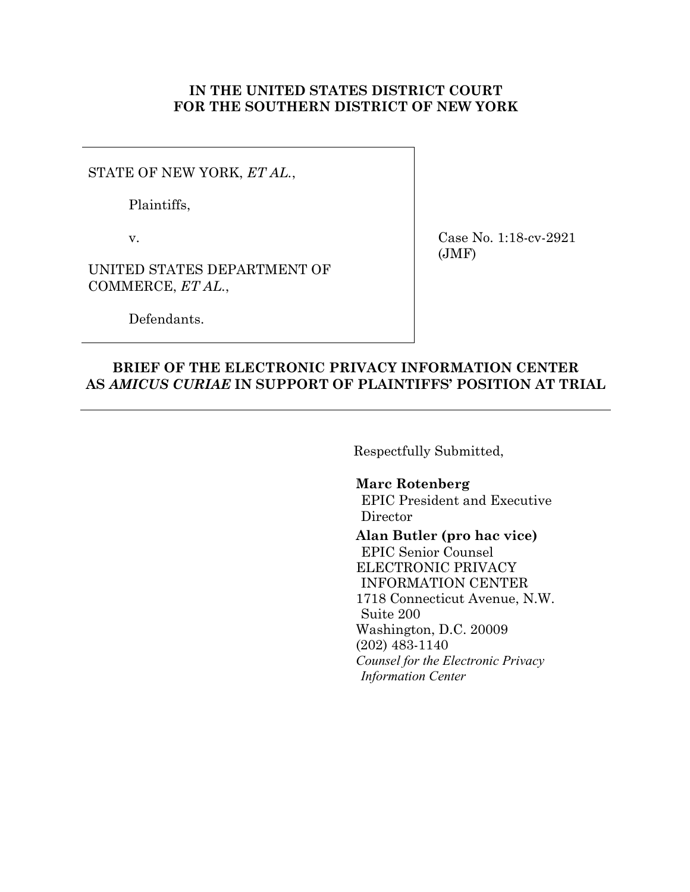### **IN THE UNITED STATES DISTRICT COURT FOR THE SOUTHERN DISTRICT OF NEW YORK**

STATE OF NEW YORK, *ET AL.*,

Plaintiffs,

v.

UNITED STATES DEPARTMENT OF COMMERCE, *ET AL.*,

Defendants.

Case No. 1:18-cv-2921 (JMF)

# **BRIEF OF THE ELECTRONIC PRIVACY INFORMATION CENTER AS** *AMICUS CURIAE* **IN SUPPORT OF PLAINTIFFS' POSITION AT TRIAL**

Respectfully Submitted,

## **Marc Rotenberg**

EPIC President and Executive Director

### **Alan Butler (pro hac vice)**

EPIC Senior Counsel ELECTRONIC PRIVACY INFORMATION CENTER 1718 Connecticut Avenue, N.W. Suite 200 Washington, D.C. 20009 (202) 483-1140 *Counsel for the Electronic Privacy Information Center*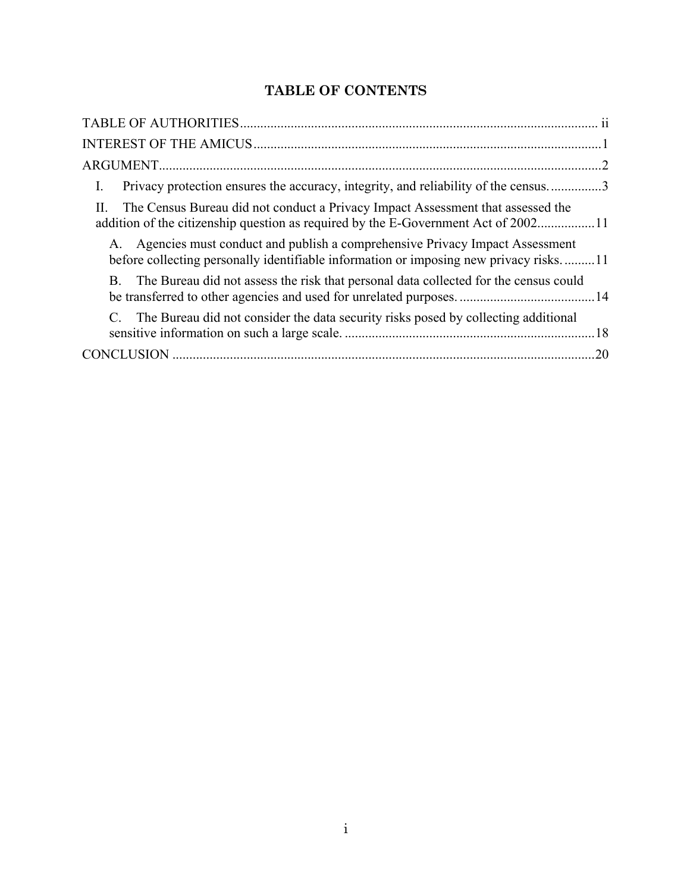# **TABLE OF CONTENTS**

| Privacy protection ensures the accuracy, integrity, and reliability of the census3<br>Ι.                                                                                |
|-------------------------------------------------------------------------------------------------------------------------------------------------------------------------|
| The Census Bureau did not conduct a Privacy Impact Assessment that assessed the<br>addition of the citizenship question as required by the E-Government Act of 200211   |
| A. Agencies must conduct and publish a comprehensive Privacy Impact Assessment<br>before collecting personally identifiable information or imposing new privacy risks11 |
| The Bureau did not assess the risk that personal data collected for the census could<br>B.                                                                              |
| The Bureau did not consider the data security risks posed by collecting additional                                                                                      |
| .20                                                                                                                                                                     |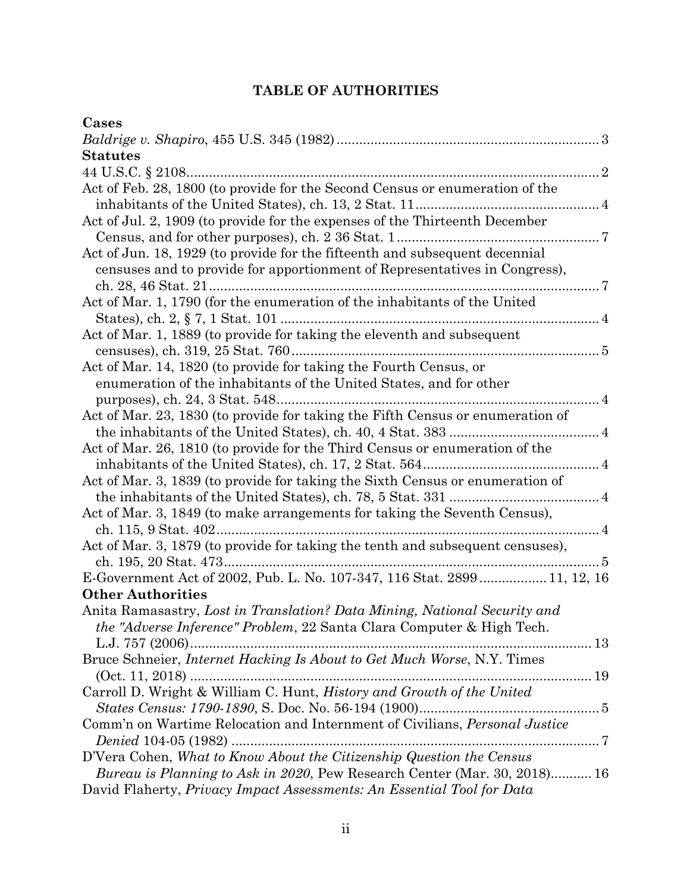# **TABLE OF AUTHORITIES**

| Cases                                                                                                                                                         |
|---------------------------------------------------------------------------------------------------------------------------------------------------------------|
|                                                                                                                                                               |
| <b>Statutes</b>                                                                                                                                               |
| 44 U.S.C. § 2108                                                                                                                                              |
| Act of Feb. 28, 1800 (to provide for the Second Census or enumeration of the                                                                                  |
| Act of Jul. 2, 1909 (to provide for the expenses of the Thirteenth December                                                                                   |
|                                                                                                                                                               |
| Act of Jun. 18, 1929 (to provide for the fifteenth and subsequent decennial                                                                                   |
| censuses and to provide for apportionment of Representatives in Congress),                                                                                    |
| Act of Mar. 1, 1790 (for the enumeration of the inhabitants of the United                                                                                     |
|                                                                                                                                                               |
| Act of Mar. 1, 1889 (to provide for taking the eleventh and subsequent                                                                                        |
|                                                                                                                                                               |
| Act of Mar. 14, 1820 (to provide for taking the Fourth Census, or                                                                                             |
| enumeration of the inhabitants of the United States, and for other                                                                                            |
| purposes), ch. 24, 3 Stat. 548                                                                                                                                |
| Act of Mar. 23, 1830 (to provide for taking the Fifth Census or enumeration of                                                                                |
|                                                                                                                                                               |
| Act of Mar. 26, 1810 (to provide for the Third Census or enumeration of the                                                                                   |
|                                                                                                                                                               |
| Act of Mar. 3, 1839 (to provide for taking the Sixth Census or enumeration of                                                                                 |
|                                                                                                                                                               |
| Act of Mar. 3, 1849 (to make arrangements for taking the Seventh Census),                                                                                     |
|                                                                                                                                                               |
| Act of Mar. 3, 1879 (to provide for taking the tenth and subsequent censuses),                                                                                |
|                                                                                                                                                               |
| E-Government Act of 2002, Pub. L. No. 107-347, 116 Stat. 2899  11, 12, 16                                                                                     |
| <b>Other Authorities</b>                                                                                                                                      |
| Anita Ramasastry, Lost in Translation? Data Mining, National Security and<br><i>the "Adverse Inference" Problem, 22 Santa Clara Computer &amp; High Tech.</i> |
| L.J. 757 (2006)                                                                                                                                               |
| Bruce Schneier, Internet Hacking Is About to Get Much Worse, N.Y. Times                                                                                       |
|                                                                                                                                                               |
| Carroll D. Wright & William C. Hunt, History and Growth of the United                                                                                         |
|                                                                                                                                                               |
| Comm'n on Wartime Relocation and Internment of Civilians, Personal Justice                                                                                    |
|                                                                                                                                                               |
| D'Vera Cohen, What to Know About the Citizenship Question the Census                                                                                          |
| <i>Bureau is Planning to Ask in 2020</i> , Pew Research Center (Mar. 30, 2018) 16                                                                             |
| David Flaherty, Privacy Impact Assessments: An Essential Tool for Data                                                                                        |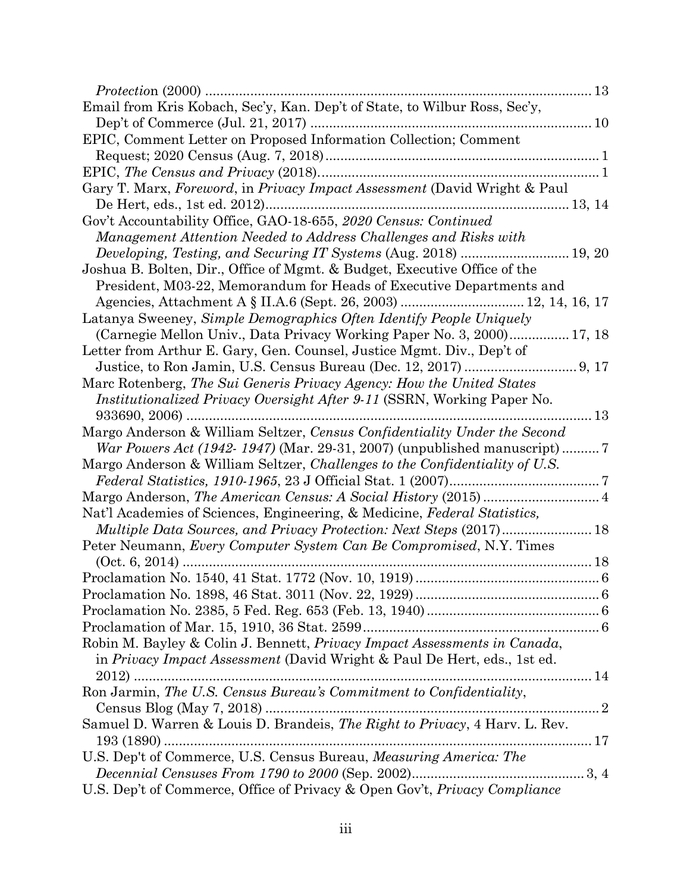| Email from Kris Kobach, Sec'y, Kan. Dep't of State, to Wilbur Ross, Sec'y,     |    |
|--------------------------------------------------------------------------------|----|
|                                                                                |    |
| EPIC, Comment Letter on Proposed Information Collection; Comment               |    |
|                                                                                |    |
|                                                                                |    |
| Gary T. Marx, Foreword, in Privacy Impact Assessment (David Wright & Paul      |    |
|                                                                                |    |
| Gov't Accountability Office, GAO-18-655, 2020 Census: Continued                |    |
| Management Attention Needed to Address Challenges and Risks with               |    |
|                                                                                |    |
| Joshua B. Bolten, Dir., Office of Mgmt. & Budget, Executive Office of the      |    |
| President, M03-22, Memorandum for Heads of Executive Departments and           |    |
|                                                                                |    |
| Latanya Sweeney, Simple Demographics Often Identify People Uniquely            |    |
| (Carnegie Mellon Univ., Data Privacy Working Paper No. 3, 2000) 17, 18         |    |
| Letter from Arthur E. Gary, Gen. Counsel, Justice Mgmt. Div., Dep't of         |    |
|                                                                                |    |
| Marc Rotenberg, The Sui Generis Privacy Agency: How the United States          |    |
| <i>Institutionalized Privacy Oversight After 9-11</i> (SSRN, Working Paper No. |    |
|                                                                                | 13 |
| Margo Anderson & William Seltzer, Census Confidentiality Under the Second      |    |
|                                                                                |    |
| Margo Anderson & William Seltzer, Challenges to the Confidentiality of U.S.    |    |
|                                                                                |    |
|                                                                                |    |
| Nat'l Academies of Sciences, Engineering, & Medicine, Federal Statistics,      |    |
| Multiple Data Sources, and Privacy Protection: Next Steps (2017) 18            |    |
| Peter Neumann, Every Computer System Can Be Compromised, N.Y. Times            |    |
|                                                                                |    |
|                                                                                |    |
|                                                                                |    |
|                                                                                |    |
|                                                                                |    |
| Robin M. Bayley & Colin J. Bennett, Privacy Impact Assessments in Canada,      |    |
| in Privacy Impact Assessment (David Wright & Paul De Hert, eds., 1st ed.       |    |
|                                                                                |    |
| Ron Jarmin, The U.S. Census Bureau's Commitment to Confidentiality,            |    |
| Samuel D. Warren & Louis D. Brandeis, The Right to Privacy, 4 Harv. L. Rev.    |    |
|                                                                                |    |
| U.S. Dep't of Commerce, U.S. Census Bureau, Measuring America: The             |    |
|                                                                                |    |
| U.S. Dep't of Commerce, Office of Privacy & Open Gov't, Privacy Compliance     |    |
|                                                                                |    |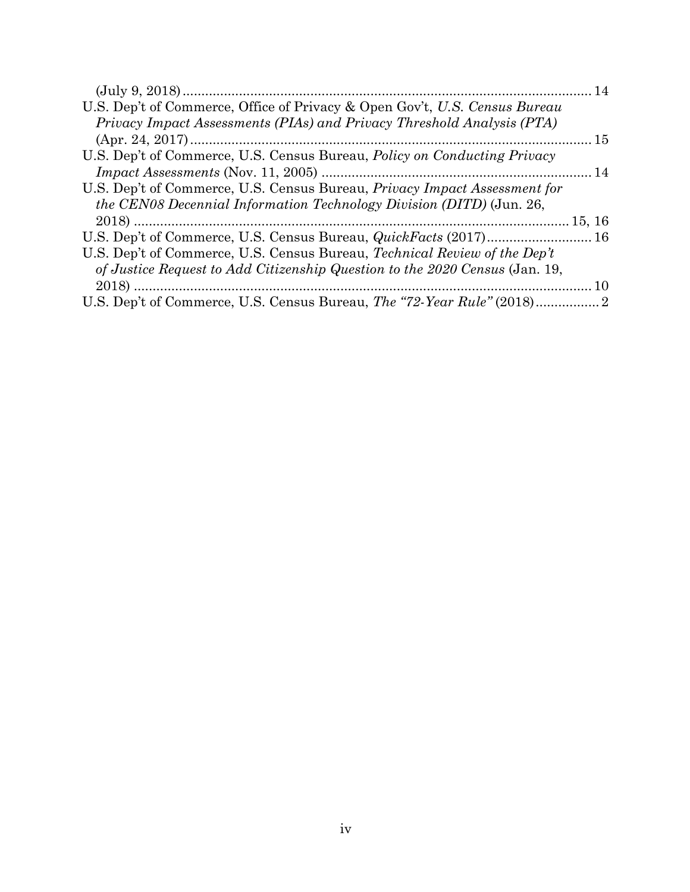| U.S. Dep't of Commerce, Office of Privacy & Open Gov't, U.S. Census Bureau                                                                                                                                                                                                                                                                                                                                               |  |
|--------------------------------------------------------------------------------------------------------------------------------------------------------------------------------------------------------------------------------------------------------------------------------------------------------------------------------------------------------------------------------------------------------------------------|--|
| Privacy Impact Assessments (PIAs) and Privacy Threshold Analysis (PTA)                                                                                                                                                                                                                                                                                                                                                   |  |
|                                                                                                                                                                                                                                                                                                                                                                                                                          |  |
| U.S. Dep't of Commerce, U.S. Census Bureau, <i>Policy on Conducting Privacy</i>                                                                                                                                                                                                                                                                                                                                          |  |
| $Impack\ Assessments\ (Nov.\ 11, 2005) \  \  \ldots \  \  \ldots \  \  \ldots \  \  \ldots \  \  \ldots \  \  \ldots \  \  \ldots \  \  \ldots \  \  \ldots \  \  \ldots \  \  \ldots \  \  \ldots \  \  \ldots \  \  \ldots \  \  \ldots \  \  \ldots \  \  \ldots \  \  \ldots \  \  \ldots \  \  \ldots \  \  \ldots \  \  \ldots \  \  \ldots \  \  \ldots \  \  \ldots \  \  \ldots \  \  \ldots \  \  \ldots \  \$ |  |
| U.S. Dep't of Commerce, U.S. Census Bureau, <i>Privacy Impact Assessment for</i>                                                                                                                                                                                                                                                                                                                                         |  |
| <i>the CEN08 Decennial Information Technology Division (DITD)</i> (Jun. 26,                                                                                                                                                                                                                                                                                                                                              |  |
|                                                                                                                                                                                                                                                                                                                                                                                                                          |  |
|                                                                                                                                                                                                                                                                                                                                                                                                                          |  |
| U.S. Dep't of Commerce, U.S. Census Bureau, <i>Technical Review of the Dep't</i>                                                                                                                                                                                                                                                                                                                                         |  |
| of Justice Request to Add Citizenship Question to the 2020 Census (Jan. 19,                                                                                                                                                                                                                                                                                                                                              |  |
|                                                                                                                                                                                                                                                                                                                                                                                                                          |  |
|                                                                                                                                                                                                                                                                                                                                                                                                                          |  |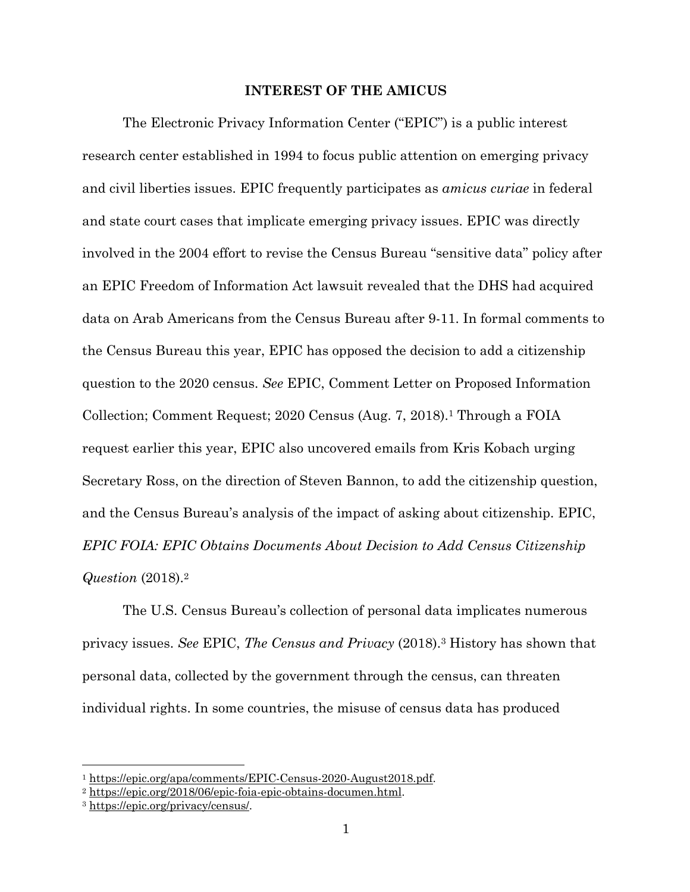#### **INTEREST OF THE AMICUS**

The Electronic Privacy Information Center ("EPIC") is a public interest research center established in 1994 to focus public attention on emerging privacy and civil liberties issues. EPIC frequently participates as *amicus curiae* in federal and state court cases that implicate emerging privacy issues. EPIC was directly involved in the 2004 effort to revise the Census Bureau "sensitive data" policy after an EPIC Freedom of Information Act lawsuit revealed that the DHS had acquired data on Arab Americans from the Census Bureau after 9-11. In formal comments to the Census Bureau this year, EPIC has opposed the decision to add a citizenship question to the 2020 census. *See* EPIC, Comment Letter on Proposed Information Collection; Comment Request; 2020 Census (Aug. 7, 2018).1 Through a FOIA request earlier this year, EPIC also uncovered emails from Kris Kobach urging Secretary Ross, on the direction of Steven Bannon, to add the citizenship question, and the Census Bureau's analysis of the impact of asking about citizenship. EPIC, *EPIC FOIA: EPIC Obtains Documents About Decision to Add Census Citizenship Question* (2018).2

The U.S. Census Bureau's collection of personal data implicates numerous privacy issues. *See* EPIC, *The Census and Privacy* (2018).3 History has shown that personal data, collected by the government through the census, can threaten individual rights. In some countries, the misuse of census data has produced

<sup>&</sup>lt;sup>1</sup> https://epic.org/apa/comments/EPIC-Census-2020-August2018.pdf.<br><sup>2</sup> https://epic.org/2018/06/epic-foia-epic-obtains-documen.html.<br><sup>3</sup> https://epic.org/privacy/census/.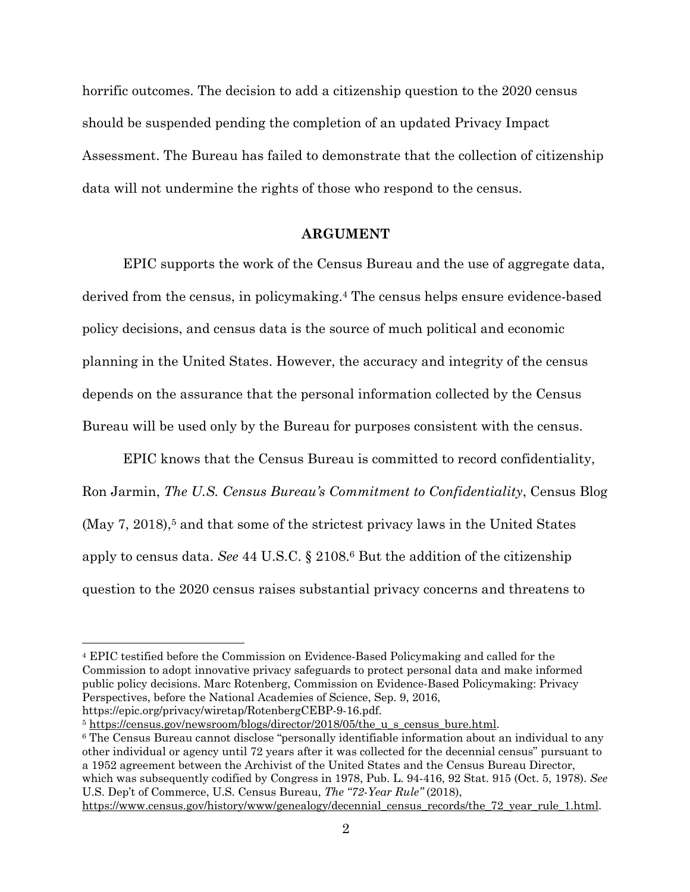horrific outcomes. The decision to add a citizenship question to the 2020 census should be suspended pending the completion of an updated Privacy Impact Assessment. The Bureau has failed to demonstrate that the collection of citizenship data will not undermine the rights of those who respond to the census.

#### **ARGUMENT**

EPIC supports the work of the Census Bureau and the use of aggregate data, derived from the census, in policymaking.4 The census helps ensure evidence-based policy decisions, and census data is the source of much political and economic planning in the United States. However, the accuracy and integrity of the census depends on the assurance that the personal information collected by the Census Bureau will be used only by the Bureau for purposes consistent with the census.

EPIC knows that the Census Bureau is committed to record confidentiality, Ron Jarmin, *The U.S. Census Bureau's Commitment to Confidentiality*, Census Blog  $(May 7, 2018)$ <sup>5</sup> and that some of the strictest privacy laws in the United States apply to census data. *See* 44 U.S.C. § 2108.6 But the addition of the citizenship question to the 2020 census raises substantial privacy concerns and threatens to

1

<sup>5</sup> https://census.gov/newsroom/blogs/director/2018/05/the\_u\_s\_census\_bure.html. 6 The Census Bureau cannot disclose "personally identifiable information about an individual to any other individual or agency until 72 years after it was collected for the decennial census" pursuant to a 1952 agreement between the Archivist of the United States and the Census Bureau Director, which was subsequently codified by Congress in 1978, Pub. L. 94-416, 92 Stat. 915 (Oct. 5, 1978). *See*  U.S. Dep't of Commerce, U.S. Census Bureau, *The "72-Year Rule"* (2018), https://www.census.gov/history/www/genealogy/decennial\_census\_records/the\_72\_year\_rule\_1.html.

<sup>4</sup> EPIC testified before the Commission on Evidence-Based Policymaking and called for the Commission to adopt innovative privacy safeguards to protect personal data and make informed public policy decisions. Marc Rotenberg, Commission on Evidence-Based Policymaking: Privacy Perspectives, before the National Academies of Science, Sep. 9, 2016, https://epic.org/privacy/wiretap/RotenbergCEBP-9-16.pdf.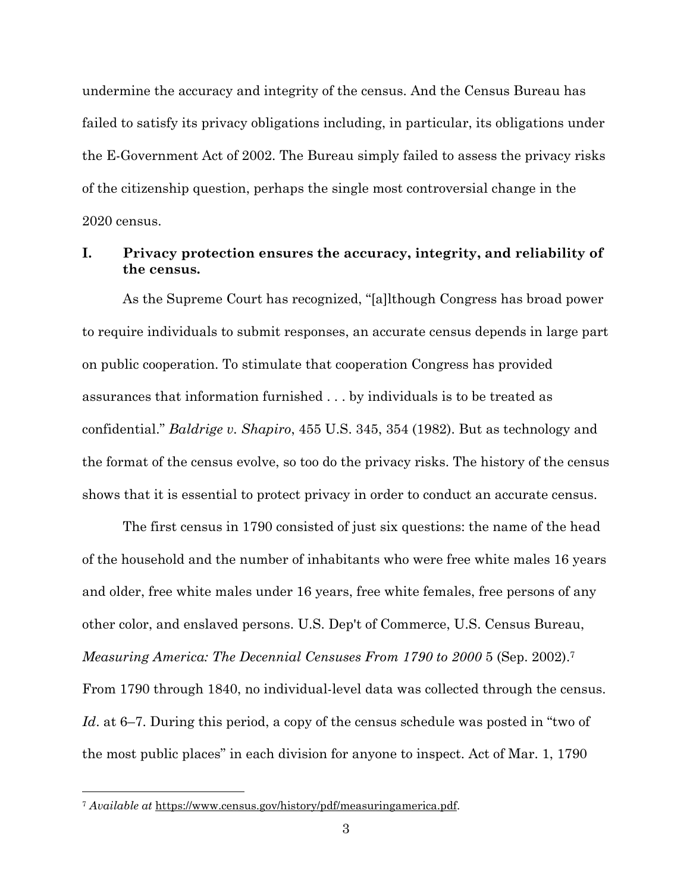undermine the accuracy and integrity of the census. And the Census Bureau has failed to satisfy its privacy obligations including, in particular, its obligations under the E-Government Act of 2002. The Bureau simply failed to assess the privacy risks of the citizenship question, perhaps the single most controversial change in the 2020 census.

## **I. Privacy protection ensures the accuracy, integrity, and reliability of the census.**

As the Supreme Court has recognized, "[a]lthough Congress has broad power to require individuals to submit responses, an accurate census depends in large part on public cooperation. To stimulate that cooperation Congress has provided assurances that information furnished . . . by individuals is to be treated as confidential." *Baldrige v. Shapiro*, 455 U.S. 345, 354 (1982). But as technology and the format of the census evolve, so too do the privacy risks. The history of the census shows that it is essential to protect privacy in order to conduct an accurate census.

The first census in 1790 consisted of just six questions: the name of the head of the household and the number of inhabitants who were free white males 16 years and older, free white males under 16 years, free white females, free persons of any other color, and enslaved persons. U.S. Dep't of Commerce, U.S. Census Bureau, *Measuring America: The Decennial Censuses From 1790 to 2000* 5 (Sep. 2002).7 From 1790 through 1840, no individual-level data was collected through the census. *Id*. at 6–7. During this period, a copy of the census schedule was posted in "two of the most public places" in each division for anyone to inspect. Act of Mar. 1, 1790

<sup>7</sup> *Available at* https://www.census.gov/history/pdf/measuringamerica.pdf.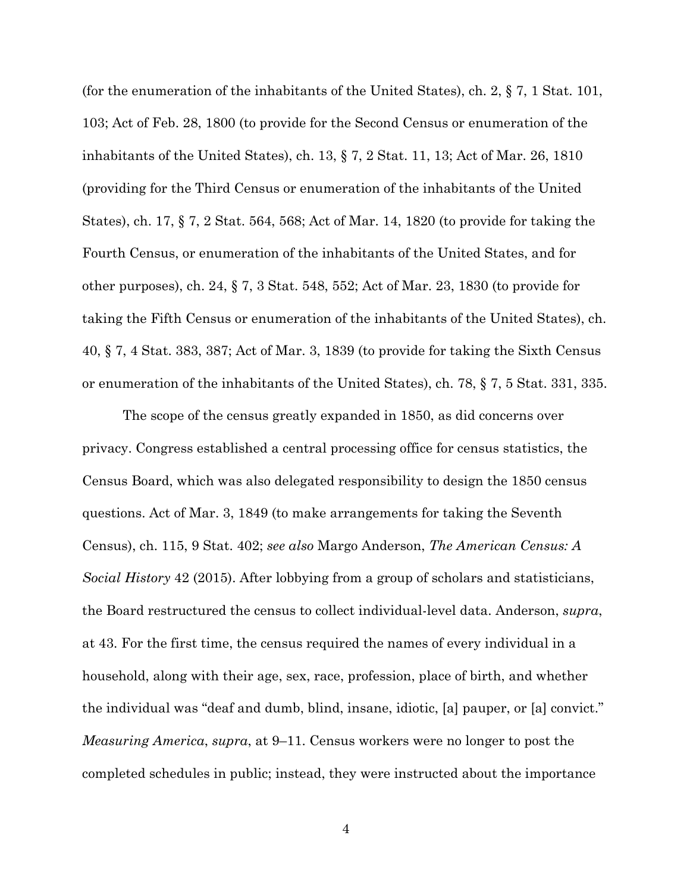(for the enumeration of the inhabitants of the United States), ch. 2, § 7, 1 Stat. 101, 103; Act of Feb. 28, 1800 (to provide for the Second Census or enumeration of the inhabitants of the United States), ch. 13, § 7, 2 Stat. 11, 13; Act of Mar. 26, 1810 (providing for the Third Census or enumeration of the inhabitants of the United States), ch. 17, § 7, 2 Stat. 564, 568; Act of Mar. 14, 1820 (to provide for taking the Fourth Census, or enumeration of the inhabitants of the United States, and for other purposes), ch. 24, § 7, 3 Stat. 548, 552; Act of Mar. 23, 1830 (to provide for taking the Fifth Census or enumeration of the inhabitants of the United States), ch. 40, § 7, 4 Stat. 383, 387; Act of Mar. 3, 1839 (to provide for taking the Sixth Census or enumeration of the inhabitants of the United States), ch. 78, § 7, 5 Stat. 331, 335.

The scope of the census greatly expanded in 1850, as did concerns over privacy. Congress established a central processing office for census statistics, the Census Board, which was also delegated responsibility to design the 1850 census questions. Act of Mar. 3, 1849 (to make arrangements for taking the Seventh Census), ch. 115, 9 Stat. 402; *see also* Margo Anderson, *The American Census: A Social History* 42 (2015). After lobbying from a group of scholars and statisticians, the Board restructured the census to collect individual-level data. Anderson, *supra*, at 43. For the first time, the census required the names of every individual in a household, along with their age, sex, race, profession, place of birth, and whether the individual was "deaf and dumb, blind, insane, idiotic, [a] pauper, or [a] convict." *Measuring America*, *supra*, at 9–11. Census workers were no longer to post the completed schedules in public; instead, they were instructed about the importance

4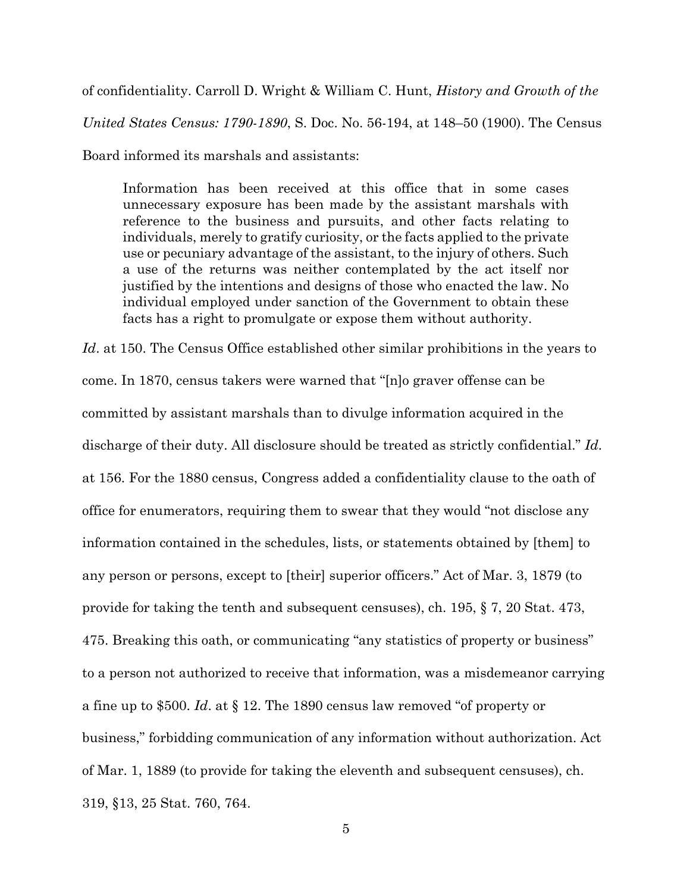of confidentiality. Carroll D. Wright & William C. Hunt, *History and Growth of the United States Census: 1790-1890*, S. Doc. No. 56-194, at 148–50 (1900). The Census

Board informed its marshals and assistants:

Information has been received at this office that in some cases unnecessary exposure has been made by the assistant marshals with reference to the business and pursuits, and other facts relating to individuals, merely to gratify curiosity, or the facts applied to the private use or pecuniary advantage of the assistant, to the injury of others. Such a use of the returns was neither contemplated by the act itself nor justified by the intentions and designs of those who enacted the law. No individual employed under sanction of the Government to obtain these facts has a right to promulgate or expose them without authority.

Id. at 150. The Census Office established other similar prohibitions in the years to come. In 1870, census takers were warned that "[n]o graver offense can be committed by assistant marshals than to divulge information acquired in the discharge of their duty. All disclosure should be treated as strictly confidential." *Id*. at 156. For the 1880 census, Congress added a confidentiality clause to the oath of office for enumerators, requiring them to swear that they would "not disclose any information contained in the schedules, lists, or statements obtained by [them] to any person or persons, except to [their] superior officers." Act of Mar. 3, 1879 (to provide for taking the tenth and subsequent censuses), ch. 195, § 7, 20 Stat. 473, 475. Breaking this oath, or communicating "any statistics of property or business" to a person not authorized to receive that information, was a misdemeanor carrying a fine up to \$500. *Id*. at § 12. The 1890 census law removed "of property or business," forbidding communication of any information without authorization. Act of Mar. 1, 1889 (to provide for taking the eleventh and subsequent censuses), ch. 319, §13, 25 Stat. 760, 764.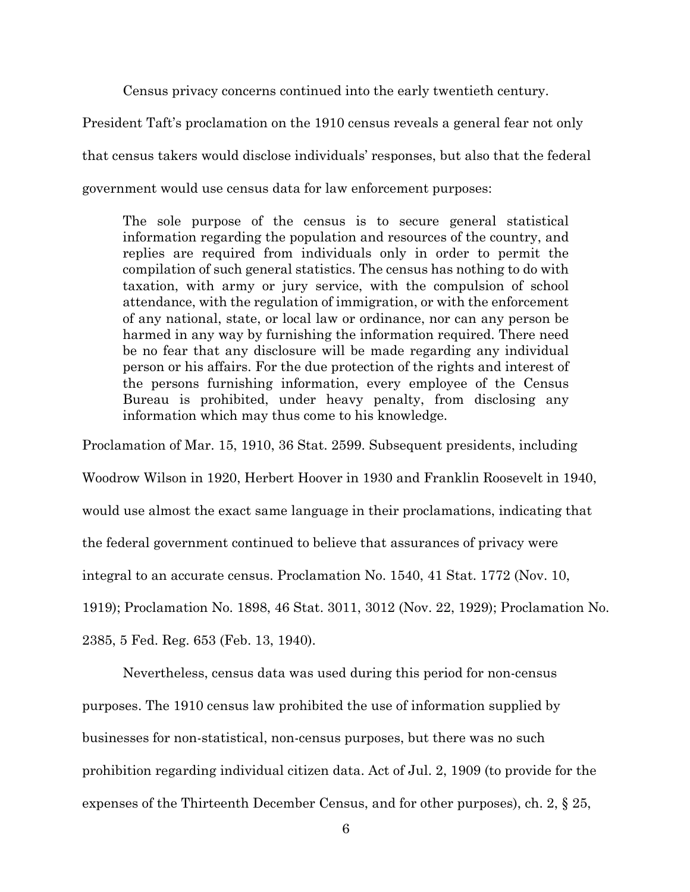Census privacy concerns continued into the early twentieth century.

President Taft's proclamation on the 1910 census reveals a general fear not only that census takers would disclose individuals' responses, but also that the federal government would use census data for law enforcement purposes:

The sole purpose of the census is to secure general statistical information regarding the population and resources of the country, and replies are required from individuals only in order to permit the compilation of such general statistics. The census has nothing to do with taxation, with army or jury service, with the compulsion of school attendance, with the regulation of immigration, or with the enforcement of any national, state, or local law or ordinance, nor can any person be harmed in any way by furnishing the information required. There need be no fear that any disclosure will be made regarding any individual person or his affairs. For the due protection of the rights and interest of the persons furnishing information, every employee of the Census Bureau is prohibited, under heavy penalty, from disclosing any information which may thus come to his knowledge.

Proclamation of Mar. 15, 1910, 36 Stat. 2599. Subsequent presidents, including

Woodrow Wilson in 1920, Herbert Hoover in 1930 and Franklin Roosevelt in 1940,

would use almost the exact same language in their proclamations, indicating that

the federal government continued to believe that assurances of privacy were

integral to an accurate census. Proclamation No. 1540, 41 Stat. 1772 (Nov. 10,

1919); Proclamation No. 1898, 46 Stat. 3011, 3012 (Nov. 22, 1929); Proclamation No.

2385, 5 Fed. Reg. 653 (Feb. 13, 1940).

Nevertheless, census data was used during this period for non-census

purposes. The 1910 census law prohibited the use of information supplied by

businesses for non-statistical, non-census purposes, but there was no such

prohibition regarding individual citizen data. Act of Jul. 2, 1909 (to provide for the

expenses of the Thirteenth December Census, and for other purposes), ch. 2, § 25,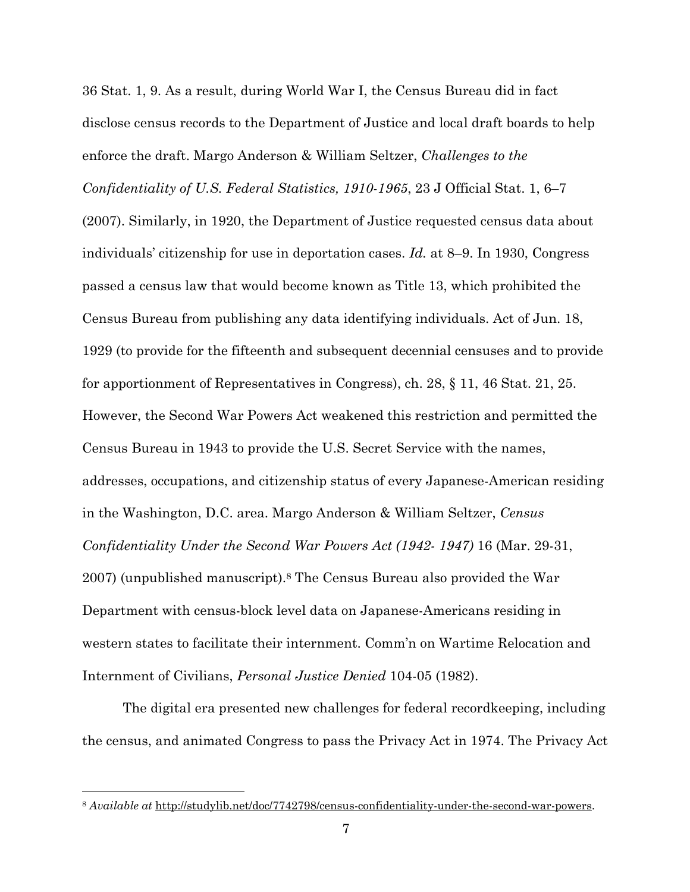36 Stat. 1, 9. As a result, during World War I, the Census Bureau did in fact disclose census records to the Department of Justice and local draft boards to help enforce the draft. Margo Anderson & William Seltzer, *Challenges to the Confidentiality of U.S. Federal Statistics, 1910-1965*, 23 J Official Stat. 1, 6–7 (2007). Similarly, in 1920, the Department of Justice requested census data about individuals' citizenship for use in deportation cases. *Id.* at 8–9. In 1930, Congress passed a census law that would become known as Title 13, which prohibited the Census Bureau from publishing any data identifying individuals. Act of Jun. 18, 1929 (to provide for the fifteenth and subsequent decennial censuses and to provide for apportionment of Representatives in Congress), ch. 28, § 11, 46 Stat. 21, 25. However, the Second War Powers Act weakened this restriction and permitted the Census Bureau in 1943 to provide the U.S. Secret Service with the names, addresses, occupations, and citizenship status of every Japanese-American residing in the Washington, D.C. area. Margo Anderson & William Seltzer, *Census Confidentiality Under the Second War Powers Act (1942- 1947)* 16 (Mar. 29-31, 2007) (unpublished manuscript).8 The Census Bureau also provided the War Department with census-block level data on Japanese-Americans residing in western states to facilitate their internment. Comm'n on Wartime Relocation and Internment of Civilians, *Personal Justice Denied* 104-05 (1982).

The digital era presented new challenges for federal recordkeeping, including the census, and animated Congress to pass the Privacy Act in 1974. The Privacy Act

<sup>8</sup> *Available at* http://studylib.net/doc/7742798/census-confidentiality-under-the-second-war-powers.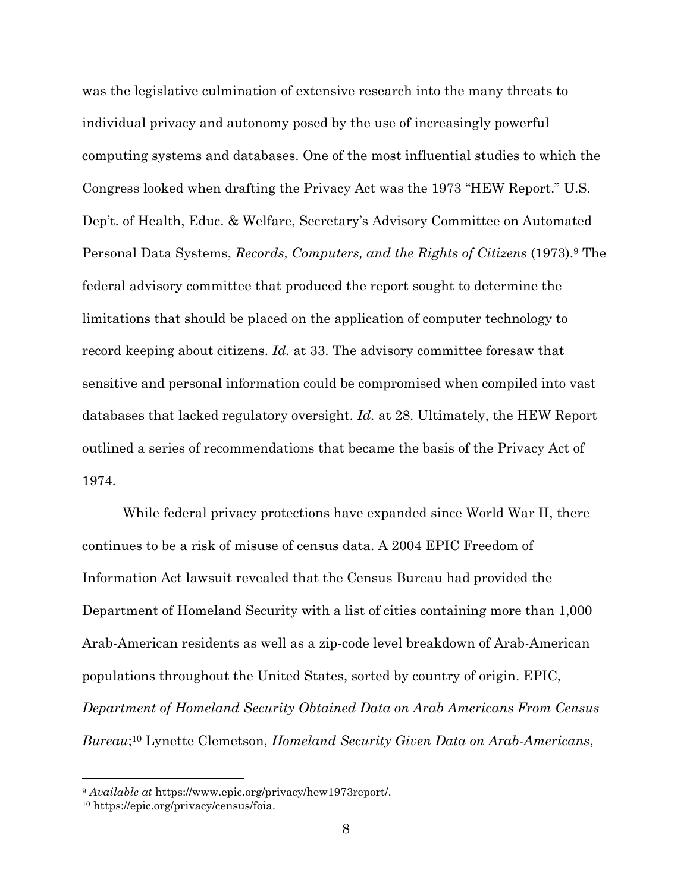was the legislative culmination of extensive research into the many threats to individual privacy and autonomy posed by the use of increasingly powerful computing systems and databases. One of the most influential studies to which the Congress looked when drafting the Privacy Act was the 1973 "HEW Report." U.S. Dep't. of Health, Educ. & Welfare, Secretary's Advisory Committee on Automated Personal Data Systems, *Records, Computers, and the Rights of Citizens* (1973).9 The federal advisory committee that produced the report sought to determine the limitations that should be placed on the application of computer technology to record keeping about citizens. *Id.* at 33. The advisory committee foresaw that sensitive and personal information could be compromised when compiled into vast databases that lacked regulatory oversight. *Id.* at 28. Ultimately, the HEW Report outlined a series of recommendations that became the basis of the Privacy Act of 1974.

While federal privacy protections have expanded since World War II, there continues to be a risk of misuse of census data. A 2004 EPIC Freedom of Information Act lawsuit revealed that the Census Bureau had provided the Department of Homeland Security with a list of cities containing more than 1,000 Arab-American residents as well as a zip-code level breakdown of Arab-American populations throughout the United States, sorted by country of origin. EPIC, *Department of Homeland Security Obtained Data on Arab Americans From Census Bureau*;10 Lynette Clemetson, *Homeland Security Given Data on Arab-Americans*,

<sup>&</sup>lt;sup>9</sup> *Available at* <u>https://www.epic.org/privacy/hew1973report/</u>.<br><sup>10</sup> https://epic.org/privacy/census/foia.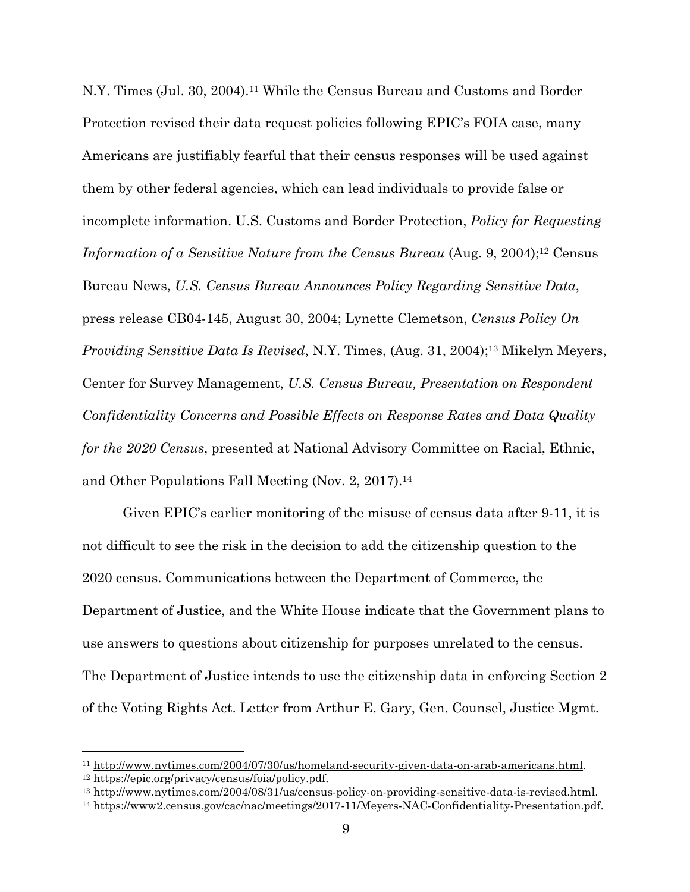N.Y. Times (Jul. 30, 2004).11 While the Census Bureau and Customs and Border Protection revised their data request policies following EPIC's FOIA case, many Americans are justifiably fearful that their census responses will be used against them by other federal agencies, which can lead individuals to provide false or incomplete information. U.S. Customs and Border Protection, *Policy for Requesting Information of a Sensitive Nature from the Census Bureau* (Aug. 9, 2004);<sup>12</sup> Census Bureau News, *U.S. Census Bureau Announces Policy Regarding Sensitive Data*, press release CB04-145, August 30, 2004; Lynette Clemetson, *Census Policy On Providing Sensitive Data Is Revised*, N.Y. Times, (Aug. 31, 2004);<sup>13</sup> Mikelyn Meyers, Center for Survey Management, *U.S. Census Bureau, Presentation on Respondent Confidentiality Concerns and Possible Effects on Response Rates and Data Quality for the 2020 Census*, presented at National Advisory Committee on Racial, Ethnic, and Other Populations Fall Meeting (Nov. 2, 2017).14

Given EPIC's earlier monitoring of the misuse of census data after 9-11, it is not difficult to see the risk in the decision to add the citizenship question to the 2020 census. Communications between the Department of Commerce, the Department of Justice, and the White House indicate that the Government plans to use answers to questions about citizenship for purposes unrelated to the census. The Department of Justice intends to use the citizenship data in enforcing Section 2 of the Voting Rights Act. Letter from Arthur E. Gary, Gen. Counsel, Justice Mgmt.

<sup>&</sup>lt;sup>11</sup>http://www.nytimes.com/2004/07/30/us/homeland-security-given-data-on-arab-americans.html<br><sup>12</sup>https://epic.org/privacy/census/foia/policy.pdf.<br><sup>13</sup>http://www.nytimes.com/2004/08/31/us/census-policy-on-providing-sensitiv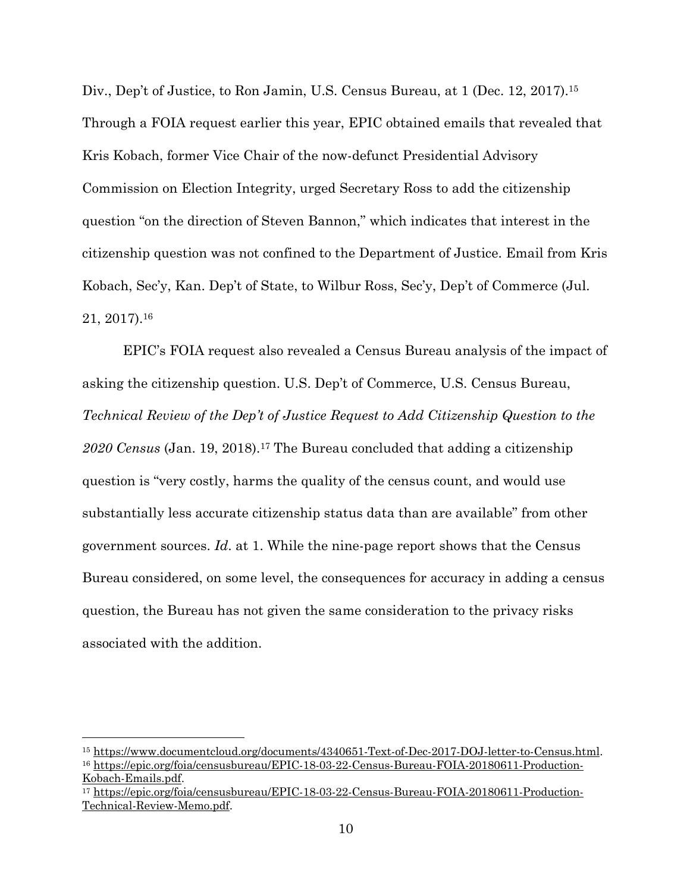Div., Dep't of Justice, to Ron Jamin, U.S. Census Bureau, at 1 (Dec. 12, 2017).<sup>15</sup> Through a FOIA request earlier this year, EPIC obtained emails that revealed that Kris Kobach, former Vice Chair of the now-defunct Presidential Advisory Commission on Election Integrity, urged Secretary Ross to add the citizenship question "on the direction of Steven Bannon," which indicates that interest in the citizenship question was not confined to the Department of Justice. Email from Kris Kobach, Sec'y, Kan. Dep't of State, to Wilbur Ross, Sec'y, Dep't of Commerce (Jul. 21, 2017).16

EPIC's FOIA request also revealed a Census Bureau analysis of the impact of asking the citizenship question. U.S. Dep't of Commerce, U.S. Census Bureau, *Technical Review of the Dep't of Justice Request to Add Citizenship Question to the 2020 Census* (Jan. 19, 2018).17 The Bureau concluded that adding a citizenship question is "very costly, harms the quality of the census count, and would use substantially less accurate citizenship status data than are available" from other government sources. *Id*. at 1. While the nine-page report shows that the Census Bureau considered, on some level, the consequences for accuracy in adding a census question, the Bureau has not given the same consideration to the privacy risks associated with the addition.

<sup>&</sup>lt;sup>15</sup> https://www.documentcloud.org/documents/4340651-Text-of-Dec-2017-DOJ-letter-to-Census.html.<br><sup>16</sup> https://epic.org/foia/censusbureau/EPIC-18-03-22-Census-Bureau-FOIA-20180611-Production-

Kobach-Emails.pdf. 17 https://epic.org/foia/censusbureau/EPIC-18-03-22-Census-Bureau-FOIA-20180611-Production-Technical-Review-Memo.pdf.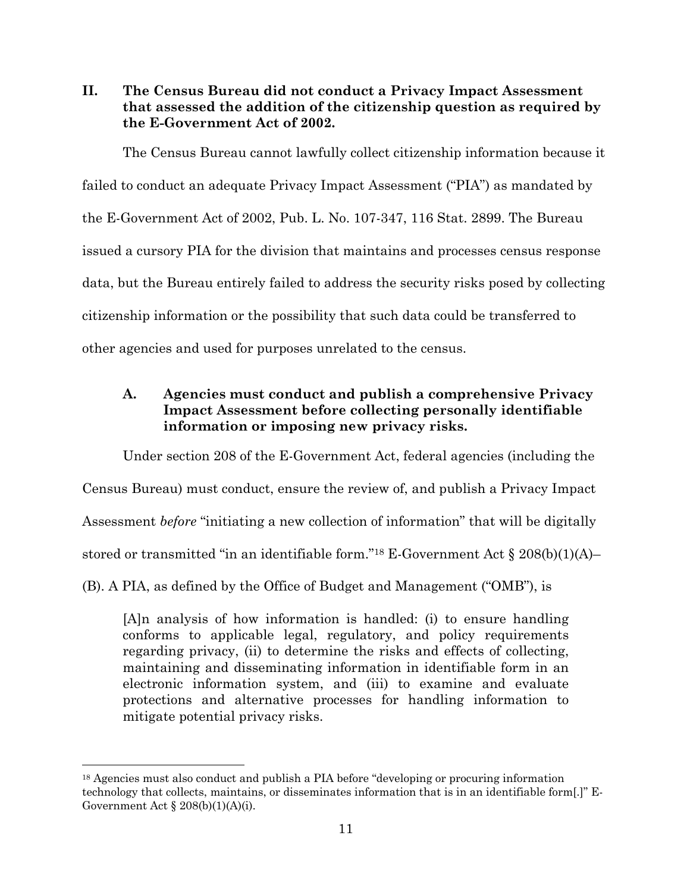**II. The Census Bureau did not conduct a Privacy Impact Assessment that assessed the addition of the citizenship question as required by the E-Government Act of 2002.** 

The Census Bureau cannot lawfully collect citizenship information because it failed to conduct an adequate Privacy Impact Assessment ("PIA") as mandated by the E-Government Act of 2002, Pub. L. No. 107-347, 116 Stat. 2899. The Bureau issued a cursory PIA for the division that maintains and processes census response data, but the Bureau entirely failed to address the security risks posed by collecting citizenship information or the possibility that such data could be transferred to other agencies and used for purposes unrelated to the census.

# **A. Agencies must conduct and publish a comprehensive Privacy Impact Assessment before collecting personally identifiable information or imposing new privacy risks.**

Under section 208 of the E-Government Act, federal agencies (including the Census Bureau) must conduct, ensure the review of, and publish a Privacy Impact Assessment *before* "initiating a new collection of information" that will be digitally stored or transmitted "in an identifiable form."<sup>18</sup> E-Government Act  $\S 208(b)(1)(A)$ -(B). A PIA, as defined by the Office of Budget and Management ("OMB"), is

[A]n analysis of how information is handled: (i) to ensure handling conforms to applicable legal, regulatory, and policy requirements regarding privacy, (ii) to determine the risks and effects of collecting, maintaining and disseminating information in identifiable form in an electronic information system, and (iii) to examine and evaluate protections and alternative processes for handling information to mitigate potential privacy risks.

<sup>&</sup>lt;sup>18</sup> Agencies must also conduct and publish a PIA before "developing or procuring information" technology that collects, maintains, or disseminates information that is in an identifiable form[.]" E-Government Act  $\S 208(b)(1)(A)(i)$ .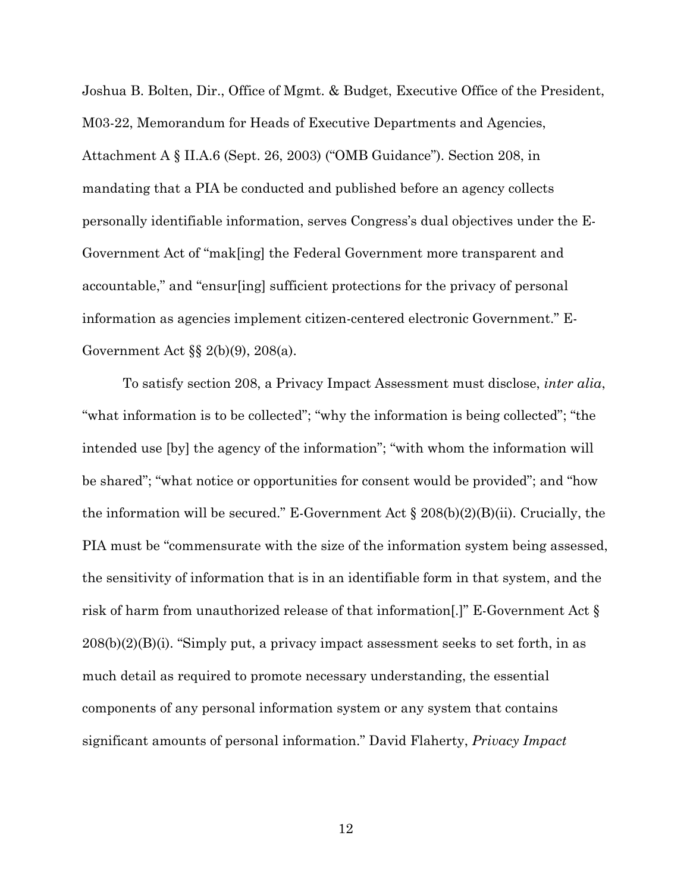Joshua B. Bolten, Dir., Office of Mgmt. & Budget, Executive Office of the President, M03-22, Memorandum for Heads of Executive Departments and Agencies, Attachment A § II.A.6 (Sept. 26, 2003) ("OMB Guidance"). Section 208, in mandating that a PIA be conducted and published before an agency collects personally identifiable information, serves Congress's dual objectives under the E-Government Act of "mak[ing] the Federal Government more transparent and accountable," and "ensur[ing] sufficient protections for the privacy of personal information as agencies implement citizen-centered electronic Government." E-Government Act §§ 2(b)(9), 208(a).

To satisfy section 208, a Privacy Impact Assessment must disclose, *inter alia*, "what information is to be collected"; "why the information is being collected"; "the intended use [by] the agency of the information"; "with whom the information will be shared"; "what notice or opportunities for consent would be provided"; and "how the information will be secured." E-Government Act  $\S 208(b)(2)(B)(ii)$ . Crucially, the PIA must be "commensurate with the size of the information system being assessed, the sensitivity of information that is in an identifiable form in that system, and the risk of harm from unauthorized release of that information[.]" E-Government Act §  $208(b)(2)(B)(i)$ . "Simply put, a privacy impact assessment seeks to set forth, in as much detail as required to promote necessary understanding, the essential components of any personal information system or any system that contains significant amounts of personal information." David Flaherty, *Privacy Impact* 

12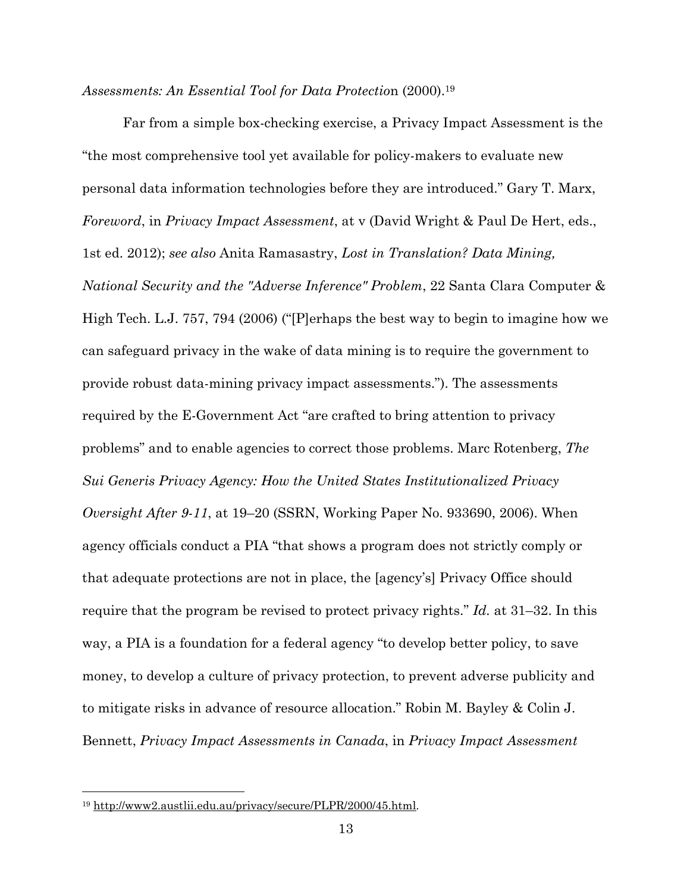#### *Assessments: An Essential Tool for Data Protectio*n (2000).19

Far from a simple box-checking exercise, a Privacy Impact Assessment is the "the most comprehensive tool yet available for policy-makers to evaluate new personal data information technologies before they are introduced." Gary T. Marx, *Foreword*, in *Privacy Impact Assessment*, at v (David Wright & Paul De Hert, eds., 1st ed. 2012); *see also* Anita Ramasastry, *Lost in Translation? Data Mining, National Security and the "Adverse Inference" Problem*, 22 Santa Clara Computer & High Tech. L.J. 757, 794 (2006) ("[P]erhaps the best way to begin to imagine how we can safeguard privacy in the wake of data mining is to require the government to provide robust data-mining privacy impact assessments."). The assessments required by the E-Government Act "are crafted to bring attention to privacy problems" and to enable agencies to correct those problems. Marc Rotenberg, *The Sui Generis Privacy Agency: How the United States Institutionalized Privacy Oversight After 9-11*, at 19–20 (SSRN, Working Paper No. 933690, 2006). When agency officials conduct a PIA "that shows a program does not strictly comply or that adequate protections are not in place, the [agency's] Privacy Office should require that the program be revised to protect privacy rights." *Id.* at 31–32. In this way, a PIA is a foundation for a federal agency "to develop better policy, to save money, to develop a culture of privacy protection, to prevent adverse publicity and to mitigate risks in advance of resource allocation." Robin M. Bayley & Colin J. Bennett, *Privacy Impact Assessments in Canada*, in *Privacy Impact Assessment*

<sup>19</sup> http://www2.austlii.edu.au/privacy/secure/PLPR/2000/45.html.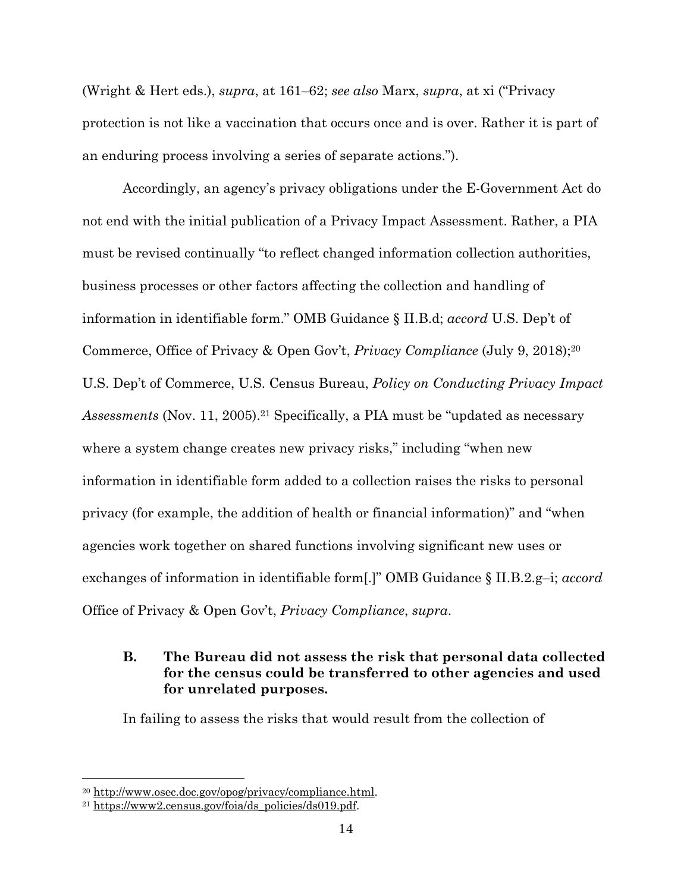(Wright & Hert eds.), *supra*, at 161–62; *see also* Marx, *supra*, at xi ("Privacy protection is not like a vaccination that occurs once and is over. Rather it is part of an enduring process involving a series of separate actions.").

Accordingly, an agency's privacy obligations under the E-Government Act do not end with the initial publication of a Privacy Impact Assessment. Rather, a PIA must be revised continually "to reflect changed information collection authorities, business processes or other factors affecting the collection and handling of information in identifiable form." OMB Guidance § II.B.d; *accord* U.S. Dep't of Commerce, Office of Privacy & Open Gov't, *Privacy Compliance* (July 9, 2018);20 U.S. Dep't of Commerce, U.S. Census Bureau, *Policy on Conducting Privacy Impact Assessments* (Nov. 11, 2005).21 Specifically, a PIA must be "updated as necessary where a system change creates new privacy risks," including "when new information in identifiable form added to a collection raises the risks to personal privacy (for example, the addition of health or financial information)" and "when agencies work together on shared functions involving significant new uses or exchanges of information in identifiable form[.]" OMB Guidance § II.B.2.g–i; *accord*  Office of Privacy & Open Gov't, *Privacy Compliance*, *supra*.

# **B. The Bureau did not assess the risk that personal data collected for the census could be transferred to other agencies and used for unrelated purposes.**

In failing to assess the risks that would result from the collection of

<sup>&</sup>lt;sup>20</sup> http://www.osec.doc.gov/opog/privacy/compliance.html.<br><sup>21</sup> https://www2.census.gov/foia/ds\_policies/ds019.pdf.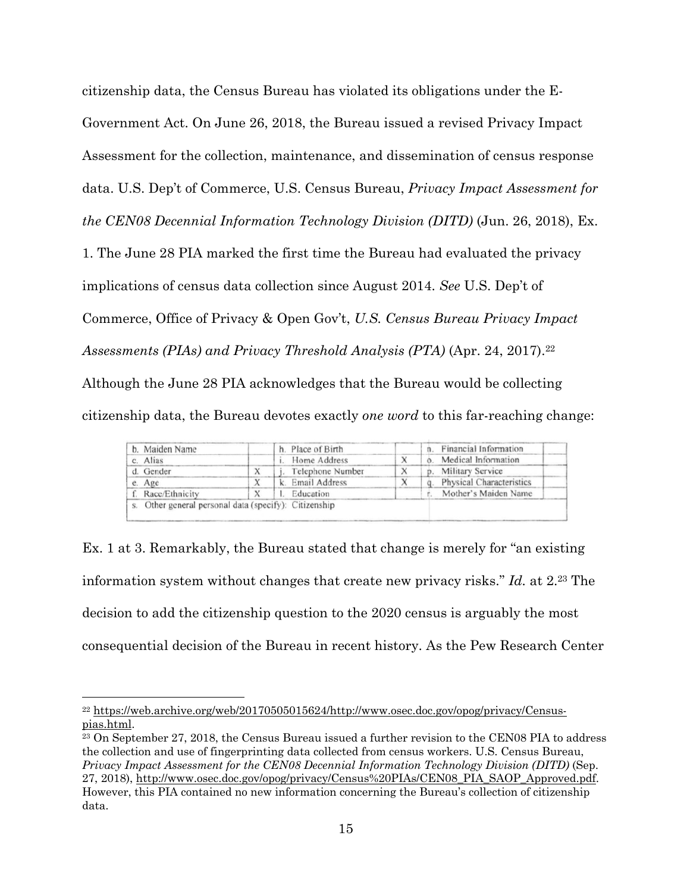citizenship data, the Census Bureau has violated its obligations under the E-Government Act. On June 26, 2018, the Bureau issued a revised Privacy Impact Assessment for the collection, maintenance, and dissemination of census response data. U.S. Dep't of Commerce, U.S. Census Bureau, *Privacy Impact Assessment for the CEN08 Decennial Information Technology Division (DITD)* (Jun. 26, 2018), Ex.

1. The June 28 PIA marked the first time the Bureau had evaluated the privacy

implications of census data collection since August 2014. *See* U.S. Dep't of

Commerce, Office of Privacy & Open Gov't, *U.S. Census Bureau Privacy Impact* 

*Assessments (PIAs) and Privacy Threshold Analysis (PTA)* (Apr. 24, 2017).22

Although the June 28 PIA acknowledges that the Bureau would be collecting citizenship data, the Bureau devotes exactly *one word* to this far-reaching change:

| b. Maiden Name | h. Place of Birth | n. Financial Information |
|----------------|-------------------|--------------------------|
| c. Alias       | Home Address      | Medical Information      |
| d. Gender      | Telephone Number  | p. Military Service      |
| e. Age         | k. Email Address  | Physical Characteristics |
| Race/Ethnicity | Education         | Mother's Maiden Name     |

Ex. 1 at 3. Remarkably, the Bureau stated that change is merely for "an existing information system without changes that create new privacy risks." *Id.* at 2.23 The decision to add the citizenship question to the 2020 census is arguably the most consequential decision of the Bureau in recent history. As the Pew Research Center

<sup>22</sup> https://web.archive.org/web/20170505015624/http://www.osec.doc.gov/opog/privacy/Censuspias.html.<br><sup>23</sup> On September 27, 2018, the Census Bureau issued a further revision to the CEN08 PIA to address

the collection and use of fingerprinting data collected from census workers. U.S. Census Bureau, *Privacy Impact Assessment for the CEN08 Decennial Information Technology Division (DITD)* (Sep. 27, 2018), http://www.osec.doc.gov/opog/privacy/Census%20PIAs/CEN08\_PIA\_SAOP\_Approved.pdf. However, this PIA contained no new information concerning the Bureau's collection of citizenship data.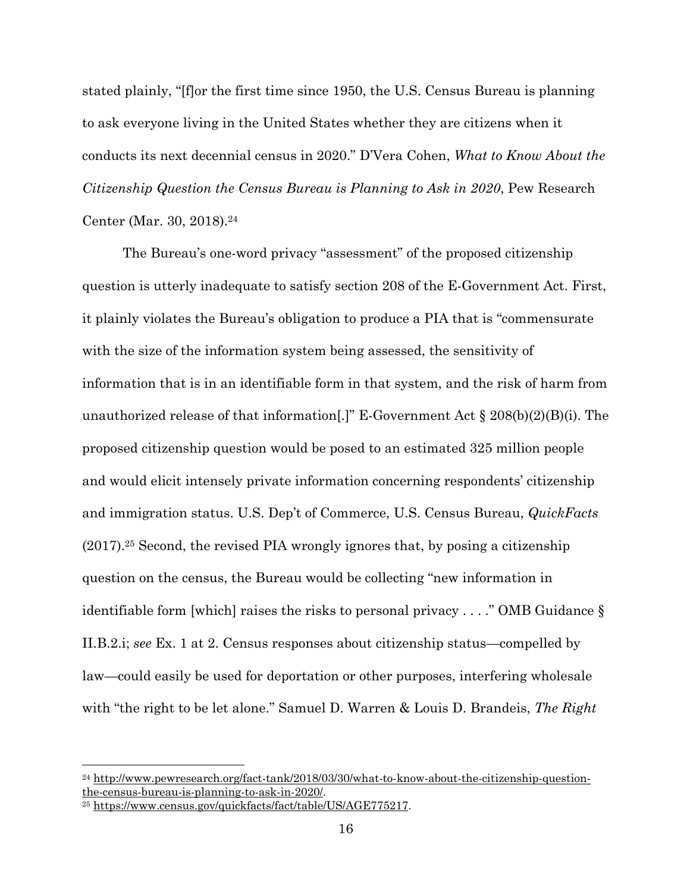stated plainly, "[f]or the first time since 1950, the U.S. Census Bureau is planning to ask everyone living in the United States whether they are citizens when it conducts its next decennial census in 2020." D'Vera Cohen, *What to Know About the Citizenship Question the Census Bureau is Planning to Ask in 2020*, Pew Research Center (Mar. 30, 2018).24

The Bureau's one-word privacy "assessment" of the proposed citizenship question is utterly inadequate to satisfy section 208 of the E-Government Act. First, it plainly violates the Bureau's obligation to produce a PIA that is "commensurate with the size of the information system being assessed, the sensitivity of information that is in an identifiable form in that system, and the risk of harm from unauthorized release of that information[.]" E-Government Act  $\S 208(b)(2)(B)(i)$ . The proposed citizenship question would be posed to an estimated 325 million people and would elicit intensely private information concerning respondents' citizenship and immigration status. U.S. Dep't of Commerce, U.S. Census Bureau, *QuickFacts* (2017).25 Second, the revised PIA wrongly ignores that, by posing a citizenship question on the census, the Bureau would be collecting "new information in identifiable form [which] raises the risks to personal privacy . . . ." OMB Guidance § II.B.2.i; *see* Ex. 1 at 2. Census responses about citizenship status—compelled by law—could easily be used for deportation or other purposes, interfering wholesale with "the right to be let alone." Samuel D. Warren & Louis D. Brandeis, *The Right* 

<sup>24</sup> http://www.pewresearch.org/fact-tank/2018/03/30/what-to-know-about-the-citizenship-questionthe-census-bureau-is-planning-to-ask-in-2020/. 25 https://www.census.gov/quickfacts/fact/table/US/AGE775217.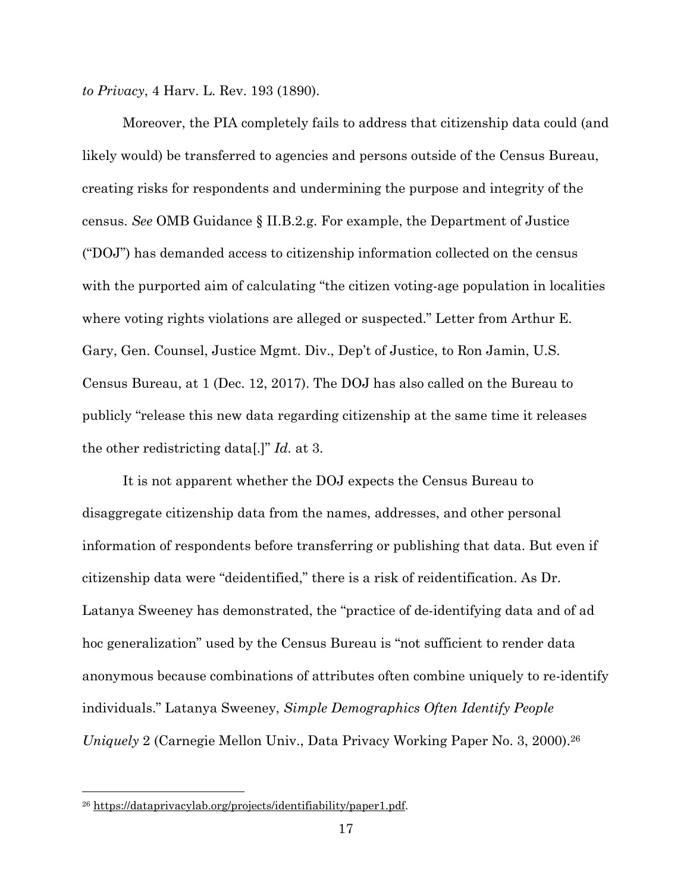*to Privacy*, 4 Harv. L. Rev. 193 (1890).

Moreover, the PIA completely fails to address that citizenship data could (and likely would) be transferred to agencies and persons outside of the Census Bureau, creating risks for respondents and undermining the purpose and integrity of the census. *See* OMB Guidance § II.B.2.g. For example, the Department of Justice ("DOJ") has demanded access to citizenship information collected on the census with the purported aim of calculating "the citizen voting-age population in localities where voting rights violations are alleged or suspected." Letter from Arthur E. Gary, Gen. Counsel, Justice Mgmt. Div., Dep't of Justice, to Ron Jamin, U.S. Census Bureau, at 1 (Dec. 12, 2017). The DOJ has also called on the Bureau to publicly "release this new data regarding citizenship at the same time it releases the other redistricting data[.]" *Id.* at 3.

It is not apparent whether the DOJ expects the Census Bureau to disaggregate citizenship data from the names, addresses, and other personal information of respondents before transferring or publishing that data. But even if citizenship data were "deidentified," there is a risk of reidentification. As Dr. Latanya Sweeney has demonstrated, the "practice of de-identifying data and of ad hoc generalization" used by the Census Bureau is "not sufficient to render data anonymous because combinations of attributes often combine uniquely to re-identify individuals." Latanya Sweeney, *Simple Demographics Often Identify People Uniquely* 2 (Carnegie Mellon Univ., Data Privacy Working Paper No. 3, 2000).26

<sup>26</sup> https://dataprivacylab.org/projects/identifiability/paper1.pdf.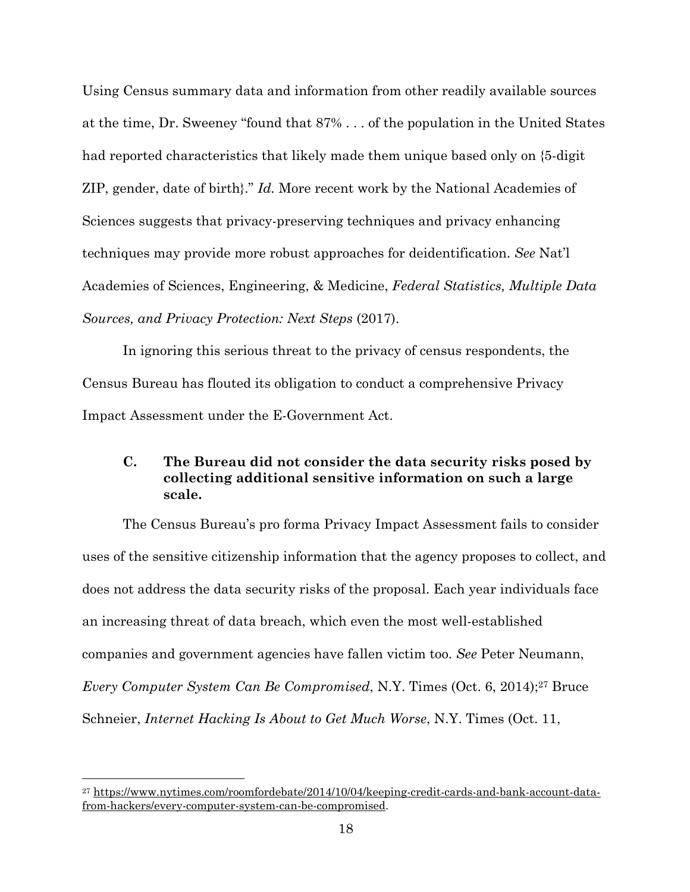Using Census summary data and information from other readily available sources at the time, Dr. Sweeney "found that 87% . . . of the population in the United States had reported characteristics that likely made them unique based only on {5-digit ZIP, gender, date of birth}." *Id.* More recent work by the National Academies of Sciences suggests that privacy-preserving techniques and privacy enhancing techniques may provide more robust approaches for deidentification. *See* Nat'l Academies of Sciences, Engineering, & Medicine, *Federal Statistics, Multiple Data Sources, and Privacy Protection: Next Steps* (2017).

In ignoring this serious threat to the privacy of census respondents, the Census Bureau has flouted its obligation to conduct a comprehensive Privacy Impact Assessment under the E-Government Act.

# **C. The Bureau did not consider the data security risks posed by collecting additional sensitive information on such a large scale.**

The Census Bureau's pro forma Privacy Impact Assessment fails to consider uses of the sensitive citizenship information that the agency proposes to collect, and does not address the data security risks of the proposal. Each year individuals face an increasing threat of data breach, which even the most well-established companies and government agencies have fallen victim too. *See* Peter Neumann, *Every Computer System Can Be Compromised*, N.Y. Times (Oct. 6, 2014);<sup>27</sup> Bruce Schneier, *Internet Hacking Is About to Get Much Worse*, N.Y. Times (Oct. 11,

<sup>27</sup> https://www.nytimes.com/roomfordebate/2014/10/04/keeping-credit-cards-and-bank-account-datafrom-hackers/every-computer-system-can-be-compromised.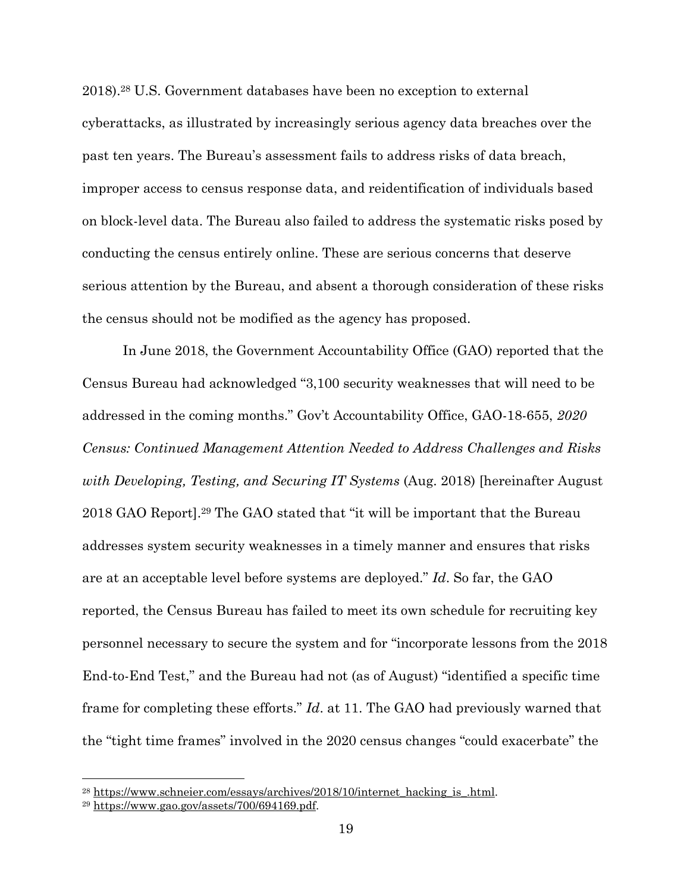2018).28 U.S. Government databases have been no exception to external cyberattacks, as illustrated by increasingly serious agency data breaches over the past ten years. The Bureau's assessment fails to address risks of data breach, improper access to census response data, and reidentification of individuals based on block-level data. The Bureau also failed to address the systematic risks posed by conducting the census entirely online. These are serious concerns that deserve serious attention by the Bureau, and absent a thorough consideration of these risks the census should not be modified as the agency has proposed.

In June 2018, the Government Accountability Office (GAO) reported that the Census Bureau had acknowledged "3,100 security weaknesses that will need to be addressed in the coming months." Gov't Accountability Office, GAO-18-655, *2020 Census: Continued Management Attention Needed to Address Challenges and Risks with Developing, Testing, and Securing IT Systems* (Aug. 2018) [hereinafter August 2018 GAO Report].29 The GAO stated that "it will be important that the Bureau addresses system security weaknesses in a timely manner and ensures that risks are at an acceptable level before systems are deployed." *Id*. So far, the GAO reported, the Census Bureau has failed to meet its own schedule for recruiting key personnel necessary to secure the system and for "incorporate lessons from the 2018 End-to-End Test," and the Bureau had not (as of August) "identified a specific time frame for completing these efforts." *Id*. at 11. The GAO had previously warned that the "tight time frames" involved in the 2020 census changes "could exacerbate" the

<sup>&</sup>lt;sup>28</sup> https://www.schneier.com/essays/archives/2018/10/internet\_hacking\_is\_.html. <sup>29</sup> https://www.gao.gov/assets/700/694169.pdf.